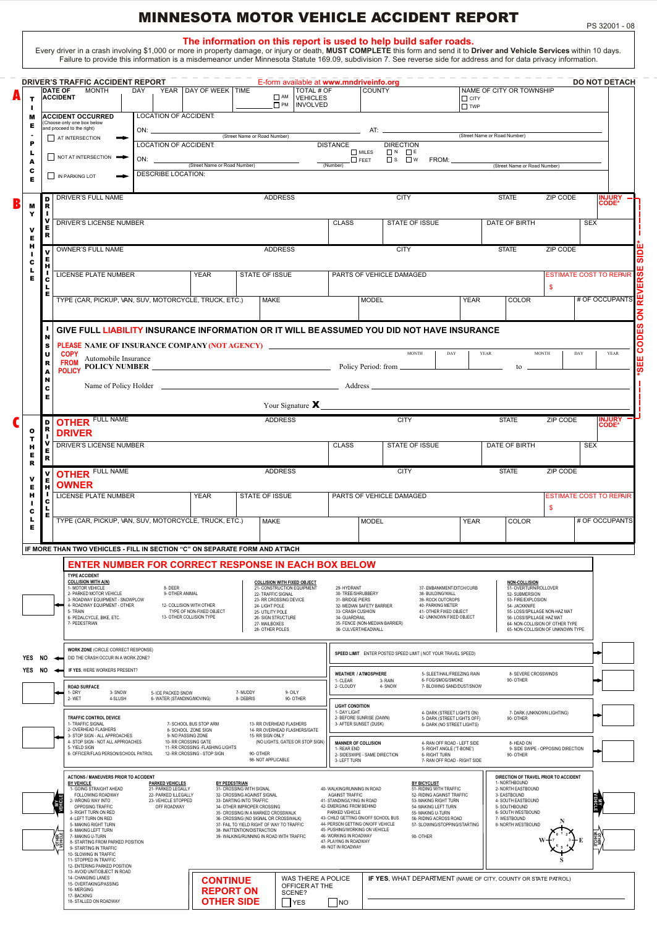## MINNESOTA MOTOR VEHICLE ACCIDENT REPORT

**The information on this report is used to help build safer roads.**<br>.Every driver in a crash involving \$1,000 or more in property damage, or injury or death, MUST COMPLETE this form and send it to Driver and Vehicle Servic

| т                          |                                 | DRIVER'S TRAFFIC ACCIDENT REPORT<br><b>DATE OF</b><br><b>MONTH</b><br><b>ACCIDENT</b>                                                                                                                                                                                                                                                                                                                                                                                                                                                                                                                                                                                                                                                                                                                                                                                                                             |                                                | DAY YEAR DAY OF WEEK TIME                                                                           |                                                                                                                                                                                                                                                                             | E-form available at www.mndriveinfo.org<br>TOTAL # OF<br><b>O AM VEHICLES</b><br><b>D</b> PM   INVOLVED                                                                                                                                              |                                                                                                                                                                                                                            | <b>COUNTY</b>                                               |                                                                                                                                                | $\Box$ CITY<br>$\Box$ TWP                                                                                                                                                                      |                            | NAME OF CITY OR TOWNSHIP                                                                                                                                                                                                                     |                                                   |                | <b>DO NOT DETACH</b>   |
|----------------------------|---------------------------------|-------------------------------------------------------------------------------------------------------------------------------------------------------------------------------------------------------------------------------------------------------------------------------------------------------------------------------------------------------------------------------------------------------------------------------------------------------------------------------------------------------------------------------------------------------------------------------------------------------------------------------------------------------------------------------------------------------------------------------------------------------------------------------------------------------------------------------------------------------------------------------------------------------------------|------------------------------------------------|-----------------------------------------------------------------------------------------------------|-----------------------------------------------------------------------------------------------------------------------------------------------------------------------------------------------------------------------------------------------------------------------------|------------------------------------------------------------------------------------------------------------------------------------------------------------------------------------------------------------------------------------------------------|----------------------------------------------------------------------------------------------------------------------------------------------------------------------------------------------------------------------------|-------------------------------------------------------------|------------------------------------------------------------------------------------------------------------------------------------------------|------------------------------------------------------------------------------------------------------------------------------------------------------------------------------------------------|----------------------------|----------------------------------------------------------------------------------------------------------------------------------------------------------------------------------------------------------------------------------------------|---------------------------------------------------|----------------|------------------------|
| м<br>Е<br>P<br>L<br>A      |                                 | <b>ACCIDENT OCCURRED</b><br>(Choose only one box below<br>and proceed to the right)<br>AT INTERSECTION<br>NOT AT INTERSECTION                                                                                                                                                                                                                                                                                                                                                                                                                                                                                                                                                                                                                                                                                                                                                                                     | LOCATION OF ACCIDENT:<br>LOCATION OF ACCIDENT: | (Street Name or Road Number)                                                                        | (Street Name or Road Number)                                                                                                                                                                                                                                                |                                                                                                                                                                                                                                                      | <b>DISTANCE</b><br>(Number)                                                                                                                                                                                                | $\Box$ MILES<br>$\Box$ FEET                                 | <b>DIRECTION</b><br>$\Box$ $N$ $\Box$ $E$<br>$\overline{\Box}$ s $\overline{\Box}$ w FROM: _______                                             | (Street Name or Road Number)                                                                                                                                                                   |                            | (Street Name or Road Number)                                                                                                                                                                                                                 |                                                   |                |                        |
| c<br>Е<br>м                | D<br>R                          | IN PARKING LOT<br><b>DRIVER'S FULL NAME</b>                                                                                                                                                                                                                                                                                                                                                                                                                                                                                                                                                                                                                                                                                                                                                                                                                                                                       | <b>DESCRIBE LOCATION:</b>                      |                                                                                                     |                                                                                                                                                                                                                                                                             | <b>ADDRESS</b>                                                                                                                                                                                                                                       |                                                                                                                                                                                                                            |                                                             | <b>CITY</b>                                                                                                                                    |                                                                                                                                                                                                |                            | <b>STATE</b>                                                                                                                                                                                                                                 | <b>ZIP CODE</b>                                   |                | <b>INJURY</b><br>CODE* |
| Y<br>ν<br>E                | Е<br>R                          | DRIVER'S LICENSE NUMBER                                                                                                                                                                                                                                                                                                                                                                                                                                                                                                                                                                                                                                                                                                                                                                                                                                                                                           |                                                |                                                                                                     |                                                                                                                                                                                                                                                                             |                                                                                                                                                                                                                                                      | <b>CLASS</b>                                                                                                                                                                                                               |                                                             | STATE OF ISSUE                                                                                                                                 |                                                                                                                                                                                                |                            | DATE OF BIRTH                                                                                                                                                                                                                                |                                                   | <b>SEX</b>     |                        |
| н<br>п<br>c<br>L<br>Е      | Е<br>н                          | <b>OWNER'S FULL NAME</b><br>LICENSE PLATE NUMBER                                                                                                                                                                                                                                                                                                                                                                                                                                                                                                                                                                                                                                                                                                                                                                                                                                                                  |                                                | <b>YEAR</b>                                                                                         | STATE OF ISSUE                                                                                                                                                                                                                                                              | <b>ADDRESS</b>                                                                                                                                                                                                                                       |                                                                                                                                                                                                                            | PARTS OF VEHICLE DAMAGED                                    | <b>CITY</b>                                                                                                                                    |                                                                                                                                                                                                |                            | <b>STATE</b>                                                                                                                                                                                                                                 | <b>ZIP CODE</b><br><b>ESTIMATE COST TO REPAIR</b> |                |                        |
|                            | c<br>ш<br>Е                     | TYPE (CAR, PICKUP, VAN, SUV, MOTORCYCLE, TRUCK, ETC.)                                                                                                                                                                                                                                                                                                                                                                                                                                                                                                                                                                                                                                                                                                                                                                                                                                                             |                                                |                                                                                                     |                                                                                                                                                                                                                                                                             | MAKE                                                                                                                                                                                                                                                 |                                                                                                                                                                                                                            | <b>MODEL</b>                                                |                                                                                                                                                | <b>YEAR</b>                                                                                                                                                                                    |                            | <b>COLOR</b>                                                                                                                                                                                                                                 | \$                                                |                | # OF OCCUPANTS         |
|                            | N<br>s<br>U<br>R<br>A<br>N<br>c | GIVE FULL LIABILITY INSURANCE INFORMATION OR IT WILL BE ASSUMED YOU DID NOT HAVE INSURANCE<br>PLEASE NAME OF INSURANCE COMPANY (NOT AGENCY) ___________________________________<br><b>COPY</b><br>FROM Automobile Insurance<br>FROM AND RESERVED IN THE MANUSCRIPT OF THE POLICY POLICY POLICY NUMBER                                                                                                                                                                                                                                                                                                                                                                                                                                                                                                                                                                                                             |                                                |                                                                                                     |                                                                                                                                                                                                                                                                             |                                                                                                                                                                                                                                                      |                                                                                                                                                                                                                            |                                                             | <b>MONTH</b><br>DAY                                                                                                                            |                                                                                                                                                                                                | YEAR                       | to _                                                                                                                                                                                                                                         | <b>MONTH</b>                                      | DAY            | YEAR                   |
|                            | Е                               |                                                                                                                                                                                                                                                                                                                                                                                                                                                                                                                                                                                                                                                                                                                                                                                                                                                                                                                   |                                                |                                                                                                     |                                                                                                                                                                                                                                                                             |                                                                                                                                                                                                                                                      |                                                                                                                                                                                                                            |                                                             |                                                                                                                                                |                                                                                                                                                                                                |                            |                                                                                                                                                                                                                                              |                                                   |                |                        |
| o                          | D                               | <b>OTHER FULL NAME</b><br><b>DRIVER</b>                                                                                                                                                                                                                                                                                                                                                                                                                                                                                                                                                                                                                                                                                                                                                                                                                                                                           |                                                |                                                                                                     |                                                                                                                                                                                                                                                                             | <b>ADDRESS</b>                                                                                                                                                                                                                                       |                                                                                                                                                                                                                            |                                                             | <b>CITY</b>                                                                                                                                    |                                                                                                                                                                                                |                            | <b>STATE</b>                                                                                                                                                                                                                                 | <b>ZIP CODE</b>                                   |                | <b>INJURY</b><br>CODE* |
| T<br>н<br>Е<br>$\mathbf R$ | Е<br>R                          | DRIVER'S LICENSE NUMBER<br><b>OTHER FULL NAME</b>                                                                                                                                                                                                                                                                                                                                                                                                                                                                                                                                                                                                                                                                                                                                                                                                                                                                 |                                                |                                                                                                     |                                                                                                                                                                                                                                                                             |                                                                                                                                                                                                                                                      | <b>CLASS</b>                                                                                                                                                                                                               |                                                             | STATE OF ISSUE                                                                                                                                 |                                                                                                                                                                                                |                            | DATE OF BIRTH                                                                                                                                                                                                                                |                                                   | <b>SEX</b>     |                        |
| v<br>Е<br>н<br>c<br>ц<br>Е | Е<br>н<br>ш<br>c<br>Е           | <b>OWNER</b><br>LICENSE PLATE NUMBER<br>TYPE (CAR, PICKUP, VAN, SUV, MOTORCYCLE, TRUCK, ETC.)                                                                                                                                                                                                                                                                                                                                                                                                                                                                                                                                                                                                                                                                                                                                                                                                                     |                                                | <b>YEAR</b>                                                                                         | STATE OF ISSUE                                                                                                                                                                                                                                                              | MAKE                                                                                                                                                                                                                                                 |                                                                                                                                                                                                                            | PARTS OF VEHICLE DAMAGED<br><b>MODEL</b>                    |                                                                                                                                                | <b>YEAR</b>                                                                                                                                                                                    |                            | COLOR                                                                                                                                                                                                                                        | <b>ESTIMATE COST TO REPAIR</b><br>- \$            | # OF OCCUPANTS |                        |
|                            |                                 | IF MORE THAN TWO VEHICLES - FILL IN SECTION "C" ON SEPARATE FORM AND ATTACH<br><b>ENTER NUMBER FOR CORRECT RESPONSE IN EACH BOX BELOW</b><br><b>TYPE ACCIDENT</b><br><b>COLLISION WITH A(N)</b><br>1- MOTOR VEHICLE<br>2- PARKED MOTOR VEHICLE<br>3- ROADWAY EQUIPMENT - SNOWPLOW<br>4- ROADWAY EQUIPMENT - OTHER<br>5- TRAIN<br>6- PEDALCYCLE, BIKE, ETC.<br>7- PEDESTRIAN                                                                                                                                                                                                                                                                                                                                                                                                                                                                                                                                       | 8-DEER                                         | 9- OTHER ANIMAL<br>12- COLLISION WITH OTHER<br>TYPE OF NON-FIXED OBJECT<br>13- OTHER COLLISION TYPE |                                                                                                                                                                                                                                                                             | <b>COLLISION WITH FIXED OBJECT</b><br>21- CONSTRUCTION EQUIPMENT<br>22- TRAFFIC SIGNAL<br>23- RR CROSSING DEVICE<br>24- LIGHT POLE<br>25- UTILITY POLE<br>26- SIGN STRUCTURE<br>27- MAILBOXES<br>28- OTHER POLES                                     | 29- HYDRANT<br>30- TREE/SHRUBBERY<br>31- BRIDGE PIERS<br>33- CRASH CUSHION<br>34- GUARDRAIL<br>36- CULVERT/HEADWALL                                                                                                        | 32- MEDIAN SAFETY BARRIER<br>35- FENCE (NON-MEDIAN BARRIER) | 37- EMBANKMENT/DITCH/CURB<br>38- BUILDING/WALL<br>39- ROCK OUTCROPS<br>40- PARKING METER<br>41- OTHER FIXED OBJECT<br>42- UNKNOWN FIXED OBJECT |                                                                                                                                                                                                |                            | <b>NON-COLLISION</b><br>51- OVERTURN/ROLLOVER<br>52- SUBMERSION<br>53- FIRE/EXPLOSION<br>54- JACKKNIFE<br>55- LOSS/SPILLAGE NON-HAZ MAT<br>56- LOSS/SPILLAGE HAZ MAT<br>64- NON-COLLISION OF OTHER TYPE<br>65- NON-COLLISION OF UNKNOWN TYPE |                                                   |                |                        |
| YES<br>NO<br>YES NO        |                                 | WORK ZONE (CIRCLE CORRECT RESPONSE)<br>DID THE CRASH OCCUR IN A WORK ZONE?<br>-<br>IF YES, WERE WORKERS PRESENT?<br><b>ROAD SURFACE</b>                                                                                                                                                                                                                                                                                                                                                                                                                                                                                                                                                                                                                                                                                                                                                                           |                                                |                                                                                                     | 1- CLEAR                                                                                                                                                                                                                                                                    | SPEED LIMIT ENTER POSTED SPEED LIMIT ( NOT YOUR TRAVEL SPEED)<br><b>WEATHER / ATMOSPHERE</b><br>5- SLEET/HAIL/FREEZING RAIN<br>8- SEVERE CROSSWINDS<br>90- OTHER<br>3- RAIN<br>6- FOG/SMOG/SMOKE<br>7- BLOWING SAND/DUST/SNOW<br>2- CLOUDY<br>4-SNOW |                                                                                                                                                                                                                            |                                                             |                                                                                                                                                |                                                                                                                                                                                                |                            |                                                                                                                                                                                                                                              |                                                   |                |                        |
|                            |                                 | 3-SNOW<br>5- ICE PACKED SNOW<br>7- MUDDY<br>9-OILY<br>1-DRY<br>8- DEBRIS<br>2-WET<br>4-SLUSH<br>6- WATER (STANDING/MOVING)<br>90- OTHER<br><b>TRAFFIC CONTROL DEVICE</b><br>1- TRAFFIC SIGNAL<br>7- SCHOOL BUS STOP ARM<br>13- RR OVERHEAD FLASHERS<br>2- OVERHEAD FLASHERS<br>14- RR OVERHEAD FLASHERS/GATE<br>8- SCHOOL ZONE SIGN<br>3- STOP SIGN - ALL APPROACHES<br>9- NO PASSING ZONE<br>15- RR SIGN ONLY                                                                                                                                                                                                                                                                                                                                                                                                                                                                                                    |                                                |                                                                                                     |                                                                                                                                                                                                                                                                             | <b>LIGHT CONDITION</b><br>1- DAY LIGHT<br>4- DARK (STREET LIGHTS ON)<br>2- BEFORE SUNRISE (DAWN)<br>5- DARK (STREET LIGHTS OFF)<br>3- AFTER SUNSET (DUSK)<br>6- DARK (NO STREET LIGHTS)                                                              |                                                                                                                                                                                                                            |                                                             |                                                                                                                                                | 90- OTHER                                                                                                                                                                                      | 7- DARK (UNKNOWN LIGHTING) |                                                                                                                                                                                                                                              |                                                   |                |                        |
|                            |                                 | 4- STOP SIGN - NOT ALL APPROACHES<br>5- YIELD SIGN<br>6- OFFICER/FLAG PERSON/SCHOOL PATROL                                                                                                                                                                                                                                                                                                                                                                                                                                                                                                                                                                                                                                                                                                                                                                                                                        |                                                | 10- RR CROSSING GATE<br>11- RR CROSSING - FLASHING LIGHTS<br>12- RR CROSSING - STOP SIGN            | 90-OTHER                                                                                                                                                                                                                                                                    | (NO LIGHTS, GATES OR STOP SIGN)<br>98-NOT APPLICABLE                                                                                                                                                                                                 | <b>MANNER OF COLLISION</b><br>1- RFAR FND<br>3- LEFT TURN                                                                                                                                                                  | 2- SIDESWIPE - SAME DIRECTION                               | 4- RAN OFF ROAD - LEFT SIDE<br>5- RIGHT ANGLE ("T-BONE")<br>6- RIGHT TURN<br>7- RAN OFF ROAD - RIGHT SIDE                                      |                                                                                                                                                                                                |                            | 8-HEAD ON<br>90- OTHER                                                                                                                                                                                                                       | 9- SIDE SWIPE - OPPOSING DIRECTION                |                |                        |
|                            |                                 | <b>ACTIONS / MANEUVERS PRIOR TO ACCIDENT</b><br><b>BY VEHICLE</b><br><b>PARKED VEHICLES</b><br><b>BY PEDESTRIAN</b><br>1- GOING STRAIGHT AHEAD<br>21- PARKED LEGALLY<br>31- CROSSING WITH SIGNAL<br>FOLLOWING ROADWAY<br>22- PARKED ILLEGALLY<br>32- CROSSING AGAINST SIGNAL<br>2- WRONG WAY INTO<br>23- VEHICLE STOPPED<br>33- DARTING INTO TRAFFIC<br>OPPOSING TRAFFIC<br>OFF ROADWAY<br>34- OTHER IMPROPER CROSSING<br>3- RIGHT TURN ON RED<br>35- CROSSING IN A MARKED CROSSWALK<br>4- LEFT TURN ON RED<br>36- CROSSING (NO SIGNAL OR CROSSWALK)<br>5- MAKING RIGHT TURN<br>37- FAIL TO YIELD RIGHT OF WAY TO TRAFFIC<br>6- MAKING LEFT TURN<br>38- INATTENTION/DISTRACTION<br><b>OTHER</b><br>39- WALKING/RUNNING IN ROAD WITH TRAFFIC<br>7- MAKING U-TURN<br>8- STARTING FROM PARKED POSITION<br>9- STARTING IN TRAFFIC<br>10- SLOWING IN TRAFFIC<br>11- STOPPED IN TRAFFIC<br>12- ENTERING PARKED POSITION |                                                |                                                                                                     | 40- WALKING/RUNNING IN ROAD<br>AGAINST TRAFFIC<br>41- STANDING/LYING IN ROAD<br>42- EMERGING FROM BEHIND<br>PARKED VEHICLE<br>44- PERSON GETTING ON/OFF VEHICLE<br>45- PUSHING/WORKING ON VEHICLE<br>46- WORKING IN ROADWAY<br>47- PLAYING IN ROADWAY<br>48- NOT IN ROADWAY | 43- CHILD GETTING ON/OFF SCHOOL BUS                                                                                                                                                                                                                  | <b>BY BICYCLIST</b><br>51- RIDING WITH TRAFFIC<br>52- RIDING AGAINST TRAFFIC<br>53- MAKING RIGHT TURN<br>54- MAKING LEFT TURN<br>55- MAKING U-TURN<br>56- RIDING ACROSS ROAD<br>57- SLOWING/STOPPING/STARTING<br>90- OTHER |                                                             |                                                                                                                                                | DIRECTION OF TRAVEL PRIOR TO ACCIDENT<br>1- NORTHBOUND<br>2- NORTH EASTBOUND<br>3- EASTBOUND<br>4- SOUTH EASTBOUND<br>5- SOUTHBOUND<br>6- SOUTH WESTBOUND<br>7-WESTBOUND<br>8- NORTH WESTBOUND |                            |                                                                                                                                                                                                                                              |                                                   |                |                        |
|                            |                                 | 13- AVOID UNIT/OBJECT IN ROAD<br>14- CHANGING LANES<br>15- OVERTAKING/PASSING<br>16-MERGING<br>17- BACKING                                                                                                                                                                                                                                                                                                                                                                                                                                                                                                                                                                                                                                                                                                                                                                                                        |                                                | <b>CONTINUE</b><br><b>REPORT ON</b>                                                                 |                                                                                                                                                                                                                                                                             | WAS THERE A POLICE<br>OFFICER AT THE<br>SCENE?                                                                                                                                                                                                       |                                                                                                                                                                                                                            |                                                             | IF YES, WHAT DEPARTMENT (NAME OF CITY, COUNTY OR STATE PATROL)                                                                                 |                                                                                                                                                                                                |                            |                                                                                                                                                                                                                                              |                                                   |                |                        |